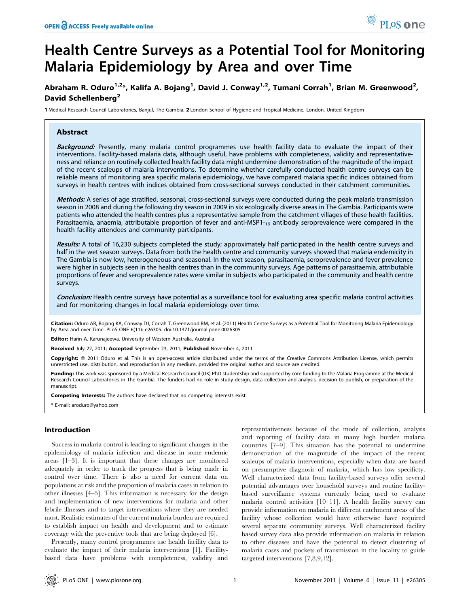# Health Centre Surveys as a Potential Tool for Monitoring Malaria Epidemiology by Area and over Time

## Abraham R. Oduro<sup>1,2</sup>\*, Kalifa A. Bojang<sup>1</sup>, David J. Conway<sup>1,2</sup>, Tumani Corrah<sup>1</sup>, Brian M. Greenwood<sup>2</sup>, David Schellenberg<sup>2</sup>

1 Medical Research Council Laboratories, Banjul, The Gambia, 2 London School of Hygiene and Tropical Medicine, London, United Kingdom

## Abstract

Background: Presently, many malaria control programmes use health facility data to evaluate the impact of their interventions. Facility-based malaria data, although useful, have problems with completeness, validity and representativeness and reliance on routinely collected health facility data might undermine demonstration of the magnitude of the impact of the recent scaleups of malaria interventions. To determine whether carefully conducted health centre surveys can be reliable means of monitoring area specific malaria epidemiology, we have compared malaria specific indices obtained from surveys in health centres with indices obtained from cross-sectional surveys conducted in their catchment communities.

Methods: A series of age stratified, seasonal, cross-sectional surveys were conducted during the peak malaria transmission season in 2008 and during the following dry season in 2009 in six ecologically diverse areas in The Gambia. Participants were patients who attended the health centres plus a representative sample from the catchment villages of these health facilities. Parasitaemia, anaemia, attributable proportion of fever and anti-MSP1-<sub>19</sub> antibody seroprevalence were compared in the health facility attendees and community participants.

Results: A total of 16,230 subjects completed the study; approximately half participated in the health centre surveys and half in the wet season surveys. Data from both the health centre and community surveys showed that malaria endemicity in The Gambia is now low, heterogeneous and seasonal. In the wet season, parasitaemia, seroprevalence and fever prevalence were higher in subjects seen in the health centres than in the community surveys. Age patterns of parasitaemia, attributable proportions of fever and seroprevalence rates were similar in subjects who participated in the community and health centre surveys.

Conclusion: Health centre surveys have potential as a surveillance tool for evaluating area specific malaria control activities and for monitoring changes in local malaria epidemiology over time.

Citation: Oduro AR, Bojang KA, Conway DJ, Corrah T, Greenwood BM, et al. (2011) Health Centre Surveys as a Potential Tool for Monitoring Malaria Epidemiology by Area and over Time. PLoS ONE 6(11): e26305. doi:10.1371/journal.pone.0026305

Editor: Harin A. Karunajeewa, University of Western Australia, Australia

Received July 22, 2011; Accepted September 23, 2011; Published November 4, 2011

Copyright: © 2011 Oduro et al. This is an open-access article distributed under the terms of the Creative Commons Attribution License, which permits unrestricted use, distribution, and reproduction in any medium, provided the original author and source are credited.

Funding: This work was sponsored by a Medical Research Council (UK) PhD studentship and supported by core funding to the Malaria Programme at the Medical Research Council Laboratories in The Gambia. The funders had no role in study design, data collection and analysis, decision to publish, or preparation of the manuscript.

Competing Interests: The authors have declared that no competing interests exist.

\* E-mail: aroduro@yahoo.com

#### Introduction

Success in malaria control is leading to significant changes in the epidemiology of malaria infection and disease in some endemic areas [1–3]. It is important that these changes are monitored adequately in order to track the progress that is being made in control over time. There is also a need for current data on populations at risk and the proportion of malaria cases in relation to other illnesses [4–5]. This information is necessary for the design and implementation of new interventions for malaria and other febrile illnesses and to target interventions where they are needed most. Realistic estimates of the current malaria burden are required to establish impact on health and development and to estimate coverage with the preventive tools that are being deployed [6].

Presently, many control programmes use health facility data to evaluate the impact of their malaria interventions [1]. Facilitybased data have problems with completeness, validity and representativeness because of the mode of collection, analysis and reporting of facility data in many high burden malaria countries [7–9]. This situation has the potential to undermine demonstration of the magnitude of the impact of the recent scaleups of malaria interventions, especially when data are based on presumptive diagnosis of malaria, which has low specificty. Well characterized data from facility-based surveys offer several potential advantages over household surveys and routine facilitybased surveillance systems currently being used to evaluate malaria control activities [10–11]. A health facility survey can provide information on malaria in different catchment areas of the facility whose collection would have otherwise have required several separate community surveys. Well characterized facility based survey data also provide information on malaria in relation to other diseases and have the potential to detect clustering of malaria cases and pockets of transmission in the locality to guide targeted interventions [7,8,9,12].

<sup>O</sup> PLoS one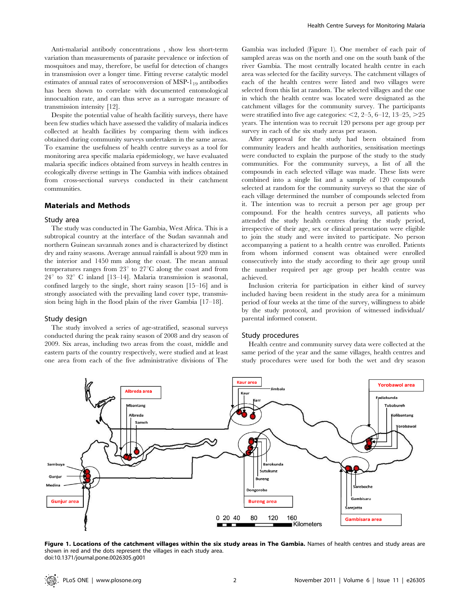Anti-malarial antibody concentrations , show less short-term variation than measurements of parasite prevalence or infection of mosquitoes and may, therefore, be useful for detection of changes in transmission over a longer time. Fitting reverse catalytic model estimates of annual rates of seroconversion of MSP- $1_{19}$  antibodies has been shown to correlate with documented entomological innocualtion rate, and can thus serve as a surrogate measure of transmission intensity [12].

Despite the potential value of health facilitiy surveys, there have been few studies which have assessed the validity of malaria indices collected at health facilities by comparing them with indices obtained during community surveys undertaken in the same areas. To examine the usefulness of health centre surveys as a tool for monitoring area specific malaria epidemiology, we have evaluated malaria specific indices obtained from surveys in health centres in ecologically diverse settings in The Gambia with indices obtained from cross-sectional surveys conducted in their catchment communities.

## Materials and Methods

#### Study area

The study was conducted in The Gambia, West Africa. This is a subtropical country at the interface of the Sudan savannah and northern Guinean savannah zones and is characterized by distinct dry and rainy seasons. Average annual rainfall is about 920 mm in the interior and 1450 mm along the coast. The mean annual temperatures ranges from  $23^{\circ}$  to  $27^{\circ}$ C along the coast and from  $24^{\circ}$  to  $32^{\circ}$  C inland [13–14]. Malaria transmission is seasonal, confined largely to the single, short rainy season [15–16] and is strongly associated with the prevailing land cover type, transmission being high in the flood plain of the river Gambia [17–18].

#### Study design

The study involved a series of age-stratified, seasonal surveys conducted during the peak rainy season of 2008 and dry season of 2009. Six areas, including two areas from the coast, middle and eastern parts of the country respectively, were studied and at least one area from each of the five administrative divisions of The

Gambia was included (Figure 1). One member of each pair of sampled areas was on the north and one on the south bank of the river Gambia. The most centrally located health centre in each area was selected for the facility surveys. The catchment villages of each of the health centres were listed and two villages were selected from this list at random. The selected villages and the one in which the health centre was located were designated as the catchment villages for the community survey. The participants were stratified into five age categories:  $\leq 2$ , 2–5, 6–12, 13–25,  $\geq 25$ years. The intention was to recruit 120 persons per age group per survey in each of the six study areas per season.

After approval for the study had been obtained from community leaders and health authorities, sensitisation meetings were conducted to explain the purpose of the study to the study communities. For the community surveys, a list of all the compounds in each selected village was made. These lists were combined into a single list and a sample of 120 compounds selected at random for the community surveys so that the size of each village determined the number of compounds selected from it. The intention was to recruit a person per age group per compound. For the health centres surveys, all patients who attended the study health centres during the study period, irrespective of their age, sex or clinical presentation were eligible to join the study and were invited to participate. No person accompanying a patient to a health centre was enrolled. Patients from whom informed consent was obtained were enrolled consecutively into the study according to their age group until the number required per age group per health centre was achieved.

Inclusion criteria for participation in either kind of survey included having been resident in the study area for a minimum period of four weeks at the time of the survey, willingness to abide by the study protocol, and provision of witnessed individual/ parental informed consent.

#### Study procedures

Health centre and community survey data were collected at the same period of the year and the same villages, health centres and study procedures were used for both the wet and dry season



Figure 1. Locations of the catchment villages within the six study areas in The Gambia. Names of health centres and study areas are shown in red and the dots represent the villages in each study area. doi:10.1371/journal.pone.0026305.g001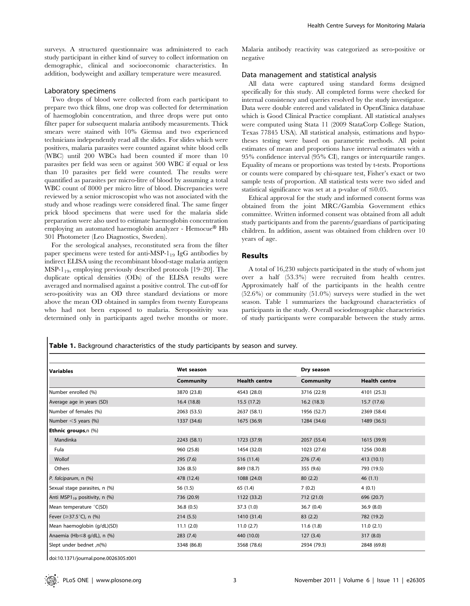surveys. A structured questionnaire was administered to each study participant in either kind of survey to collect information on demographic, clinical and socioeconomic characteristics. In addition, bodyweight and axillary temperature were measured.

## Laboratory specimens

Two drops of blood were collected from each participant to prepare two thick films, one drop was collected for determination of haemoglobin concentration, and three drops were put onto filter paper for subsequent malaria antibody measurements. Thick smears were stained with 10% Giemsa and two experienced technicians independently read all the slides. For slides which were positives, malaria parasites were counted against white blood cells (WBC) until 200 WBCs had been counted if more than 10 parasites per field was seen or against 500 WBC if equal or less than 10 parasites per field were counted. The results were quantified as parasites per micro-litre of blood by assuming a total WBC count of 8000 per micro litre of blood. Discrepancies were reviewed by a senior microscopist who was not associated with the study and whose readings were considered final. The same finger prick blood specimens that were used for the malaria slide preparation were also used to estimate haemoglobin concentration employing an automated haemoglobin analyzer - Hemocue® Hb 301 Photometer (Leo Diagnostics, Sweden).

For the serological analyses, reconstituted sera from the filter paper specimens were tested for anti-MSP- $1_{19}$  IgG antibodies by indirect ELISA using the recombinant blood-stage malaria antigen MSP-1<sub>19</sub>, employing previously described protocols  $[19-20]$ . The duplicate optical densities (ODs) of the ELISA results were averaged and normalised against a positive control. The cut-off for sero-positivity was an OD three standard deviations or more above the mean OD obtained in samples from twenty Europeans who had not been exposed to malaria. Seropositivity was determined only in participants aged twelve months or more.

Malaria antibody reactivity was categorized as sero-positive or negative

#### Data management and statistical analysis

All data were captured using standard forms designed specifically for this study. All completed forms were checked for internal consistency and queries resolved by the study investigator. Data were double entered and validated in OpenClinica database which is Good Clinical Practice compliant. All statistical analyses were computed using Stata 11 (2009 StataCorp College Station, Texas 77845 USA). All statistical analysis, estimations and hypotheses testing were based on parametric methods. All point estimates of mean and proportions have interval estimates with a 95% confidence interval (95% CI), ranges or interquartile ranges. Equality of means or proportions was tested by t-tests. Proportions or counts were compared by chi-square test, Fisher's exact or two sample tests of proportion. All statistical tests were two sided and statistical significance was set at a p-value of  $\leq 0.05$ .

Ethical approval for the study and informed consent forms was obtained from the joint MRC/Gambia Government ethics committee. Written informed consent was obtained from all adult study participants and from the parents/guardians of participating children. In addition, assent was obtained from children over 10 years of age.

## Results

A total of 16,230 subjects participated in the study of whom just over a half (53.3%) were recruited from health centres. Approximately half of the participants in the health centre (52.6%) or community (51.0%) surveys were studied in the wet season. Table 1 summarizes the background characteristics of participants in the study. Overall sociodemographic characteristics of study participants were comparable between the study arms.

Table 1. Background characteristics of the study participants by season and survey.

| <b>Variables</b>                             | Wet season  |                      | Dry season  |                      |
|----------------------------------------------|-------------|----------------------|-------------|----------------------|
|                                              | Community   | <b>Health centre</b> | Community   | <b>Health centre</b> |
| Number enrolled (%)                          | 3870 (23.8) | 4543 (28.0)          | 3716 (22.9) | 4101 (25.3)          |
| Average age in years (SD)                    | 16.4 (18.8) | 15.5(17.2)           | 16.2(18.3)  | 15.7 (17.6)          |
| Number of females (%)                        | 2063 (53.5) | 2637 (58.1)          | 1956 (52.7) | 2369 (58.4)          |
| Number $<$ 5 years (%)                       | 1337 (34.6) | 1675 (36.9)          | 1284 (34.6) | 1489 (36.5)          |
| Ethnic groups,n (%)                          |             |                      |             |                      |
| Mandinka                                     | 2243 (58.1) | 1723 (37.9)          | 2057 (55.4) | 1615 (39.9)          |
| Fula                                         | 960 (25.8)  | 1454 (32.0)          | 1023 (27.6) | 1256 (30.8)          |
| Wollof                                       | 295 (7.6)   | 516 (11.4)           | 276(7.4)    | 413 (10.1)           |
| Others                                       | 326 (8.5)   | 849 (18.7)           | 355 (9.6)   | 793 (19.5)           |
| P. falciparum, n (%)                         | 478 (12.4)  | 1088 (24.0)          | 80(2.2)     | 46(1.1)              |
| Sexual stage parasites, n (%)                | 56 (1.5)    | 65 (1.4)             | 7(0.2)      | 4(0.1)               |
| Anti MSP1 <sub>19</sub> positivity, n $(\%)$ | 736 (20.9)  | 1122 (33.2)          | 712 (21.0)  | 696 (20.7)           |
| Mean temperature °C(SD)                      | 36.8(0.5)   | 37.3(1.0)            | 36.7(0.4)   | 36.9(8.0)            |
| Fever ( $\geq$ 37.5°C), n (%)                | 214(5.5)    | 1410 (31.4)          | 83(2.2)     | 782 (19.2)           |
| Mean haemoglobin (g/dL)(SD)                  | 11.1(2.0)   | 11.0(2.7)            | 11.6(1.8)   | 11.0(2.1)            |
| Anaemia (Hb≤8 g/dL), n (%)                   | 283(7.4)    | 440 (10.0)           | 127(3.4)    | 317 (8.0)            |
| Slept under bednet ,n(%)                     | 3348 (86.8) | 3568 (78.6)          | 2934 (79.3) | 2848 (69.8)          |

doi:10.1371/journal.pone.0026305.t001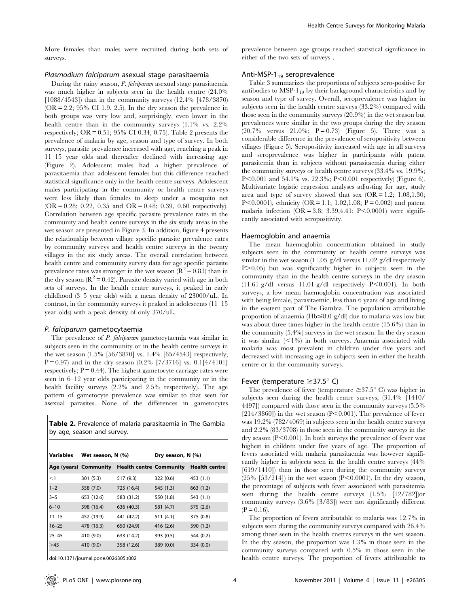More females than males were recruited during both sets of surveys.

#### Plasmodium falciparum asexual stage parasitaemia

During the rainy season, P. falciparum asexual stage parasitaemia was much higher in subjects seen in the health centre (24.0% [1088/4543]) than in the community surveys (12.4% [478/3870)  $(OR = 2.2; 95\% \text{ CI } 1.9, 2.5)$ . In the dry season the prevalence in both groups was very low and, surprisingly, even lower in the health centre than in the community surveys (1.1% vs. 2.2% respectively;  $OR = 0.51$ ; 95% CI 0.34, 0.75). Table 2 presents the prevalence of malaria by age, season and type of survey. In both surveys, parasite prevalence increased with age, reaching a peak in 11–15 year olds and thereafter declined with increasing age (Figure 2). Adolescent males had a higher prevalence of parasitaemia than adolescent females but this difference reached statistical significance only in the health centre surveys. Adolescent males participating in the community or health centre surveys were less likely than females to sleep under a mosquito net  $(OR = 0.28; 0.22, 0.35, and OR = 0.48; 0.39, 0.60, respectively).$ Correlation between age specific parasite prevalence rates in the community and health centre surveys in the six study areas in the wet season are presented in Figure 3. In addition, figure 4 presents the relationship between village specific parasite prevalence rates by community surveys and health centre surveys in the twenty villages in the six study areas. The overall correlation between health centre and community survey data for age specific parasite prevalence rates was stronger in the wet season ( $\mathbb{R}^2 = 0.83$ ) than in the dry season  $(R^2 = 0.42)$ . Parasite density varied with age in both sets of surveys. In the health centre surveys, it peaked in early childhood (3–5 year olds) with a mean density of 23000/uL. In contrast, in the community surveys it peaked in adolescents (11–15 year olds) with a peak density of only 370/uL.

## P. falciparum gametocytaemia

The prevalence of *P. falciparum* gametocytaemia was similar in subjects seen in the community or in the health centre surveys in the wet season (1.5% [56/3870] vs. 1.4% [65/4543] respectively;  $P = 0.97$ ) and in the dry season  $(0.2\%$  [7/3716] vs.  $0.1[4/4101]$ respectively;  $P = 0.44$ ). The highest gametocyte carriage rates were seen in 6–12 year olds participating in the community or in the health facility surveys (2.2% and 2.5% respectively). The age pattern of gametocyte prevalence was similar to that seen for asexual parasites. None of the differences in gametocytes

Table 2. Prevalence of malaria parasitaemia in The Gambia by age, season and survey.

| <b>Variables</b> | Wet season, N (%)     |                                | Dry season, N (%) |                      |  |
|------------------|-----------------------|--------------------------------|-------------------|----------------------|--|
|                  | Age (years) Community | <b>Health centre Community</b> |                   | <b>Health centre</b> |  |
| <1               | 301 (5.3)             | 517 (9.3)                      | 322 (0.6)         | 453 (1.1)            |  |
| $1 - 2$          | 558 (7.0)             | 725 (16.4)                     | 545 (1.3)         | 663(1.2)             |  |
| $3 - 5$          | 653 (12.6)            | 583 (31.2)                     | 550 (1.8)         | 543 (1.1)            |  |
| $6 - 10$         | 598 (16.4)            | 636 (40.3)                     | 581 (4.7)         | 575 (2.6)            |  |
| $11 - 15$        | 452 (19.9)            | 441 (42.2)                     | 511(4.1)          | 375 (0.8)            |  |
| $16 - 25$        | 478 (16.3)            | 650 (24.9)                     | 416 (2.6)         | 590 (1.2)            |  |
| $25 - 45$        | 410 (9.0)             | 633 (14.2)                     | 393 (0.5)         | 544 (0.2)            |  |
| >45              | 410 (9.0)             | 358 (12.6)                     | 389(0.0)          | 334 (0.0)            |  |

doi:10.1371/journal.pone.0026305.t002

prevalence between age groups reached statistical significance in either of the two sets of surveys .

#### Anti-MSP- $1_{19}$  seroprevalence

Table 3 summarizes the proportions of subjects sero-positive for antibodies to  $MSP-1_{19}$  by their background characteristics and by season and type of survey. Overall, seroprevalence was higher in subjects seen in the health centre surveys (33.2%) compared with those seen in the community surveys (20.9%) in the wet season but prevalences were similar in the two groups during the dry season  $(20.7\% \text{ versus } 21.0\%; \text{ P} = 0.73)$  (Figure 5). There was a considerable difference in the prevalence of seropositivity between villages (Figure 5). Seropositivity increased with age in all surveys and seroprevalence was higher in participants with patent parasitemia than in subjects without parasitaemia during either the community surveys or health centre surveys (33.4% vs. 19.9%; P $< 0.001$  and 54.1% vs. 22.3%; P $< 0.001$  respectively) (Figure 6). Multivariate logistic regression analyses adjusting for age, study area and type of survey showed that sex  $(OR = 1.2; 1.08, 1.30;$ P $< 0.0001$ ), ethnicity (OR = 1.1; 1.02,1.08; P = 0.002) and patent malaria infection (OR = 3.8; 3.39,4.41; P<0.0001) were significantly associated with seropositivity.

#### Haemoglobin and anaemia

The mean haemoglobin concentration obtained in study subjects seen in the community or health centre surveys was similar in the wet season (11.05 g/dl versus 11.02 g/dl respectively P $>0.05$ ) but was significantly higher in subjects seen in the community than in the health centre surveys in the dry season (11.61 g/dl versus 11.01 g/dl respectively  $P<0.001$ ). In both surveys, a low mean haemoglobin concentration was associated with being female, parasitaemic, less than 6 years of age and living in the eastern part of The Gambia. The population attributable proportion of anaemia (Hb $\leq$ 8.0 g/dl) due to malaria was low but was about three times higher in the health centre (15.6%) than in the community (5.4%) surveys in the wet season. In the dry season it was similar  $\langle 1\% \rangle$  in both surveys. Anaemia associated with malaria was most prevalent in children under five years and decreased with increasing age in subjects seen in either the health centre or in the community surveys.

#### Fever (temperature  $\geq$ 37.5 $\degree$  C)

The prevalence of fever (temperature  $\geq 37.5^{\circ}$  C) was higher in subjects seen during the health centre surveys, (31.4% [1410/ 4497]) compared with those seen in the community surveys (5.5% [214/3860]) in the wet season ( $P<0.001$ ). The prevalence of fever was 19.2% (782/4069) in subjects seen in the health centre surveys and 2.2% (83/3708) in those seen in the community surveys in the dry season  $(P<0.001)$ . In both surveys the prevalence of fever was highest in children under five years of age. The proportion of fevers associated with malaria parasitaemia was however significantly higher in subjects seen in the health centre surveys (44% [619/1410]) than in those seen during the community surveys  $(25\%$  [53/214]) in the wet season (P<0.0001). In the dry season, the percentage of subjects with fever associated with parasitemia seen during the health centre surveys (1.5% [12/782])or community surveys (3.6% [3/83]) were not significantly different  $(P = 0.16)$ .

The proportion of fevers attributable to malaria was 12.7% in subjects seen during the community surveys compared with 26.4% among those seen in the health cnetres surveys in the wet season. In the dry season, the proportion was 1.3% in those seen in the community surveys compared with 0.5% in those seen in the health centre surveys. The proportion of fevers attributable to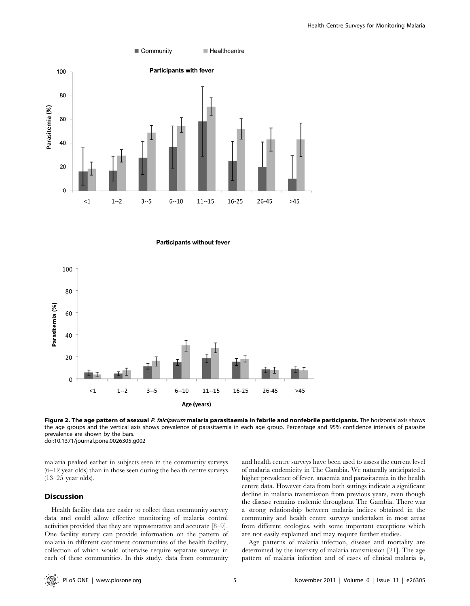

**Participants without fever** 



Figure 2. The age pattern of asexual P. falciparum malaria parasitaemia in febrile and nonfebrile participants. The horizontal axis shows the age groups and the vertical axis shows prevalence of parasitaemia in each age group. Percentage and 95% confidence intervals of parasite prevalence are shown by the bars. doi:10.1371/journal.pone.0026305.g002

malaria peaked earlier in subjects seen in the community surveys (6–12 year olds) than in those seen during the health centre surveys (13–25 year olds).

## Discussion

Health facility data are easier to collect than community survey data and could allow effective monitoring of malaria control activities provided that they are representative and accurate [8–9]. One facility survey can provide information on the pattern of malaria in different catchment communities of the health facility, collection of which would otherwise require separate surveys in each of these communities. In this study, data from community and health centre surveys have been used to assess the current level of malaria endemicity in The Gambia. We naturally anticipated a higher prevalence of fever, anaemia and parasitaemia in the health centre data. However data from both settings indicate a significant decline in malaria transmission from previous years, even though the disease remains endemic throughout The Gambia. There was a strong relationship between malaria indices obtained in the community and health centre surveys undertaken in most areas from different ecologies, with some important exceptions which are not easily explained and may require further studies.

Age patterns of malaria infection, disease and mortality are determined by the intensity of malaria transmission [21]. The age pattern of malaria infection and of cases of clinical malaria is,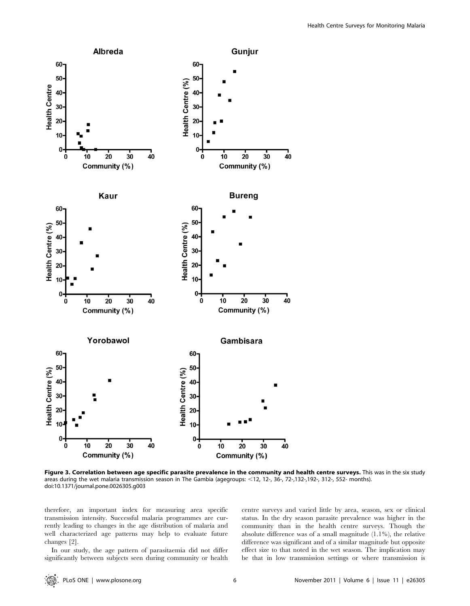

Figure 3. Correlation between age specific parasite prevalence in the community and health centre surveys. This was in the six study areas during the wet malaria transmission season in The Gambia (agegroups: <12, 12-, 36-, 72-,132-,192-, 312-, 552- months). doi:10.1371/journal.pone.0026305.g003

therefore, an important index for measuring area specific transmission intensity. Successful malaria programmes are currently leading to changes in the age distribution of malaria and well characterized age patterns may help to evaluate future changes [2].

In our study, the age pattern of parasitaemia did not differ significantly between subjects seen during community or health centre surveys and varied little by area, season, sex or clinical status. In the dry season parasite prevalence was higher in the community than in the health centre surveys. Though the absolute difference was of a small magnitude (1.1%), the relative difference was significant and of a similar magnitude but opposite effect size to that noted in the wet season. The implication may be that in low transmission settings or where transmission is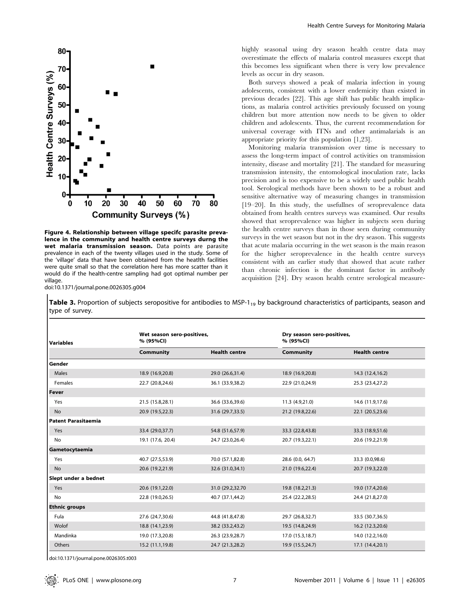

Figure 4. Relationship between village specifc parasite prevalence in the community and health centre surveys durng the wet malaria transmission season. Data points are parasite prevalence in each of the twenty villages used in the study. Some of the 'village' data that have been obtained from the heatlth facilities were quite small so that the correlation here has more scatter than it would do if the health-centre sampling had got optimal number per village. doi:10.1371/journal.pone.0026305.g004

highly seasonal using dry season health centre data may overestimate the effects of malaria control measures except that this becomes less significant when there is very low prevalence levels as occur in dry season.

Both surveys showed a peak of malaria infection in young adolescents, consistent with a lower endemicity than existed in previous decades [22]. This age shift has public health implications, as malaria control activities previously focussed on young children but more attention now needs to be given to older children and adolescents. Thus, the current recommendation for universal coverage with ITNs and other antimalarials is an appropriate priority for this population [1,23].

Monitoring malaria transmission over time is necessary to assess the long-term impact of control activities on transmission intensity, disease and mortality [21]. The standard for measuring transmission intensity, the entomological inoculation rate, lacks precision and is too expensive to be a widely used public health tool. Serological methods have been shown to be a robust and sensitive alternative way of measuring changes in transmission [19–20]. In this study, the usefullnes of seroprevalence data obtained from health centres surveys was examined. Our results showed that seroprevalence was higher in subjects seen during the health centre surveys than in those seen during community surveys in the wet season but not in the dry season. This suggests that acute malaria occurring in the wet season is the main reason for the higher seroprevalence in the health centre surveys consistent with an earlier study that showed that acute rather than chronic infection is the dominant factor in antibody acquisition [24]. Dry season health centre serological measure-

Table 3. Proportion of subjects seropositive for antibodies to MSP-1<sub>19</sub> by background characteristics of participants, season and type of survey.

| Variables            | Wet season sero-positives,<br>% (95%CI) |                      | Dry season sero-positives,<br>% (95%Cl) |                      |  |
|----------------------|-----------------------------------------|----------------------|-----------------------------------------|----------------------|--|
|                      | Community                               | <b>Health centre</b> | Community                               | <b>Health centre</b> |  |
| Gender               |                                         |                      |                                         |                      |  |
| Males                | 18.9 (16.9,20.8)                        | 29.0 (26.6,31.4)     | 18.9 (16.9,20.8)                        | 14.3 (12.4, 16.2)    |  |
| Females              | 22.7 (20.8,24.6)                        | 36.1 (33.9,38.2)     | 22.9 (21.0,24.9)                        | 25.3 (23.4,27.2)     |  |
| l Fever              |                                         |                      |                                         |                      |  |
| Yes                  | 21.5 (15.8,28.1)                        | 36.6 (33.6,39.6)     | 11.3 (4.9,21.0)                         | 14.6 (11.9,17.6)     |  |
| <b>No</b>            | 20.9 (19.5,22.3)                        | 31.6 (29.7,33.5)     | 21.2 (19.8,22.6)                        | 22.1 (20.5,23.6)     |  |
| Patent Parasitaemia  |                                         |                      |                                         |                      |  |
| Yes                  | 33.4 (29.0,37.7)                        | 54.8 (51.6,57.9)     | 33.3 (22.8,43.8)                        | 33.3 (18.9,51.6)     |  |
| <b>No</b>            | 19.1 (17.6, 20.4)                       | 24.7 (23.0,26.4)     | 20.7 (19.3,22.1)                        | 20.6 (19.2,21.9)     |  |
| Gametocytaemia       |                                         |                      |                                         |                      |  |
| Yes                  | 40.7 (27.5,53.9)                        | 70.0 (57.1,82.8)     | 28.6 (0.0, 64.7)                        | 33.3 (0.0,98.6)      |  |
| No                   | 20.6 (19.2,21.9)                        | 32.6 (31.0,34.1)     | 21.0 (19.6,22.4)                        | 20.7 (19.3,22.0)     |  |
| Slept under a bednet |                                         |                      |                                         |                      |  |
| Yes                  | 20.6 (19.1,22.0)                        | 31.0 (29.2,32.70     | 19.8 (18.2,21.3)                        | 19.0 (17.4,20.6)     |  |
| No                   | 22.8 (19.0,26.5)                        | 40.7 (37.1,44.2)     | 25.4 (22.2,28.5)                        | 24.4 (21.8,27.0)     |  |
| <b>Ethnic groups</b> |                                         |                      |                                         |                      |  |
| Fula                 | 27.6 (24.7,30.6)                        | 44.8 (41.8,47.8)     | 29.7 (26.8,32.7)                        | 33.5 (30.7,36.5)     |  |
| Wolof                | 18.8 (14.1,23.9)                        | 38.2 (33.2,43.2)     | 19.5 (14.8,24.9)                        | 16.2 (12.3,20.6)     |  |
| Mandinka             | 19.0 (17.3,20.8)                        | 26.3 (23.9,28.7)     | 17.0 (15.3,18.7)                        | 14.0 (12.2,16.0)     |  |
| Others               | 15.2 (11.1,19.8)                        | 24.7 (21.3,28.2)     | 19.9 (15.5,24.7)                        | 17.1 (14.4,20.1)     |  |

doi:10.1371/journal.pone.0026305.t003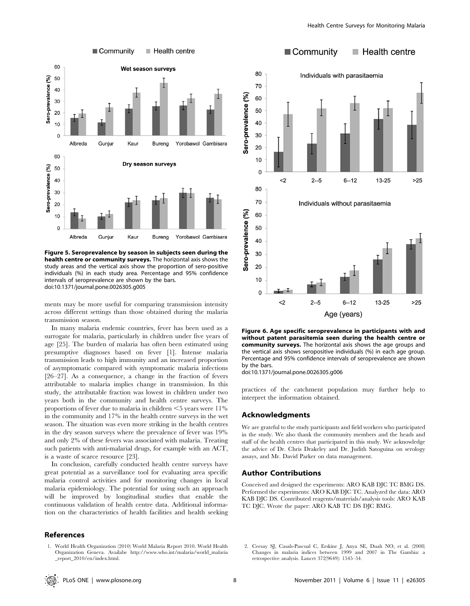

Figure 5. Seroprevalence by season in subjects seen during the health centre or community surveys. The horizontal axis shows the study areas and the vertical axis show the proportion of sero-positive individuals (%) in each study area. Percentage and 95% confidence intervals of seroprevalence are shown by the bars. doi:10.1371/journal.pone.0026305.g005

ments may be more useful for comparing transmission intensity across different settings than those obtained during the malaria transmission season.

In many malaria endemic countries, fever has been used as a surrogate for malaria, particularly in children under five years of age [25]. The burden of malaria has often been estimated using presumptive diagnoses based on fever [1]. Intense malaria transmission leads to high immunity and an increased proportion of asymptomatic compared with symptomatic malaria infections [26–27]. As a consequence, a change in the fraction of fevers attributable to malaria implies change in transmission. In this study, the attributable fraction was lowest in children under two years both in the community and health centre surveys. The proportions of fever due to malaria in children  $<$  5 years were 11% in the community and 17% in the health centre surveys in the wet season. The situation was even more striking in the health centres in the dry season surveys where the prevalence of fever was 19% and only 2% of these fevers was associated with malaria. Treating such patients with anti-malarial drugs, for example with an ACT, is a waste of scarce resource [23].

In conclusion, carefully conducted health centre surveys have great potential as a surveillance tool for evaluating area specific malaria control activities and for monitoring changes in local malaria epidemiology. The potential for using such an approach will be improved by longitudinal studies that enable the continuous validation of health centre data. Additional information on the characteristics of health facilities and health seeking

## References



Figure 6. Age specific seroprevalence in participants with and without patent parasitemia seen during the health centre or community surveys. The horizontal axis shows the age groups and the vertical axis shows seropositive individuals (%) in each age group. Percentage and 95% confidence intervals of seroprevalence are shown by the bars.

doi:10.1371/journal.pone.0026305.g006

practices of the catchment population may further help to interpret the information obtained.

#### Acknowledgments

We are grateful to the study participants and field workers who participated in the study. We also thank the community members and the heads and staff of the health centres that participated in this study. We acknowledge the advice of Dr. Chris Drakeley and Dr. Judith Satoguina on serology assays, and Mr. David Parker on data management.

## Author Contributions

Conceived and designed the experiments: ARO KAB DJC TC BMG DS. Performed the experiments: ARO KAB DJC TC. Analyzed the data: ARO KAB DJC DS. Contributed reagents/materials/analysis tools: ARO KAB TC DJC. Wrote the paper: ARO KAB TC DS DJC BMG.

2. Ceesay SJ, Casals-Pascual C, Erskine J, Anya SE, Duah NO, et al. (2008) Changes in malaria indices between 1999 and 2007 in The Gambia: a retrospective analysis. Lancet 372(9649): 1545–54.